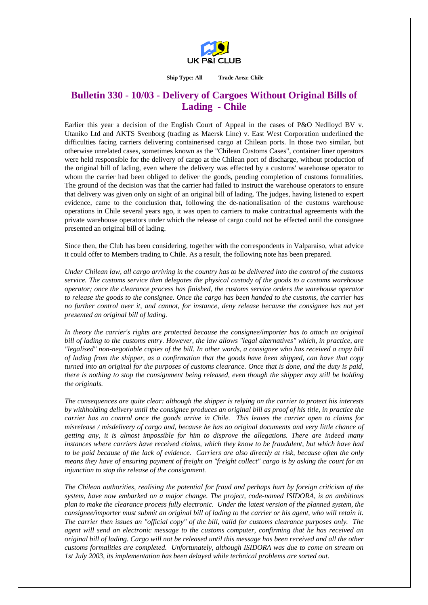

## **Ship Type: All Trade Area: Chile**

## **Bulletin 330 - 10/03 - Delivery of Cargoes Without Original Bills of Lading - Chile**

Earlier this year a decision of the English Court of Appeal in the cases of P&O Nedlloyd BV v. Utaniko Ltd and AKTS Svenborg (trading as Maersk Line) v. East West Corporation underlined the difficulties facing carriers delivering containerised cargo at Chilean ports. In those two similar, but otherwise unrelated cases, sometimes known as the "Chilean Customs Cases", container liner operators were held responsible for the delivery of cargo at the Chilean port of discharge, without production of the original bill of lading, even where the delivery was effected by a customs' warehouse operator to whom the carrier had been obliged to deliver the goods, pending completion of customs formalities. The ground of the decision was that the carrier had failed to instruct the warehouse operators to ensure that delivery was given only on sight of an original bill of lading. The judges, having listened to expert evidence, came to the conclusion that, following the de-nationalisation of the customs warehouse operations in Chile several years ago, it was open to carriers to make contractual agreements with the private warehouse operators under which the release of cargo could not be effected until the consignee presented an original bill of lading.

Since then, the Club has been considering, together with the correspondents in Valparaiso, what advice it could offer to Members trading to Chile. As a result, the following note has been prepared.

*Under Chilean law, all cargo arriving in the country has to be delivered into the control of the customs service. The customs service then delegates the physical custody of the goods to a customs warehouse operator; once the clearance process has finished, the customs service orders the warehouse operator to release the goods to the consignee. Once the cargo has been handed to the customs, the carrier has no further control over it, and cannot, for instance, deny release because the consignee has not yet presented an original bill of lading.* 

*In theory the carrier's rights are protected because the consignee/importer has to attach an original bill of lading to the customs entry. However, the law allows "legal alternatives" which, in practice, are "legalised" non-negotiable copies of the bill. In other words, a consignee who has received a copy bill of lading from the shipper, as a confirmation that the goods have been shipped, can have that copy turned into an original for the purposes of customs clearance. Once that is done, and the duty is paid, there is nothing to stop the consignment being released, even though the shipper may still be holding the originals.* 

*The consequences are quite clear: although the shipper is relying on the carrier to protect his interests by withholding delivery until the consignee produces an original bill as proof of his title, in practice the carrier has no control once the goods arrive in Chile. This leaves the carrier open to claims for misrelease / misdelivery of cargo and, because he has no original documents and very little chance of getting any, it is almost impossible for him to disprove the allegations. There are indeed many instances where carriers have received claims, which they know to be fraudulent, but which have had to be paid because of the lack of evidence. Carriers are also directly at risk, because often the only means they have of ensuring payment of freight on "freight collect" cargo is by asking the court for an injunction to stop the release of the consignment.* 

*The Chilean authorities, realising the potential for fraud and perhaps hurt by foreign criticism of the system, have now embarked on a major change. The project, code-named ISIDORA, is an ambitious plan to make the clearance process fully electronic. Under the latest version of the planned system, the consignee/importer must submit an original bill of lading to the carrier or his agent, who will retain it. The carrier then issues an "official copy" of the bill, valid for customs clearance purposes only. The agent will send an electronic message to the customs computer, confirming that he has received an original bill of lading. Cargo will not be released until this message has been received and all the other customs formalities are completed. Unfortunately, although ISIDORA was due to come on stream on 1st July 2003, its implementation has been delayed while technical problems are sorted out.*